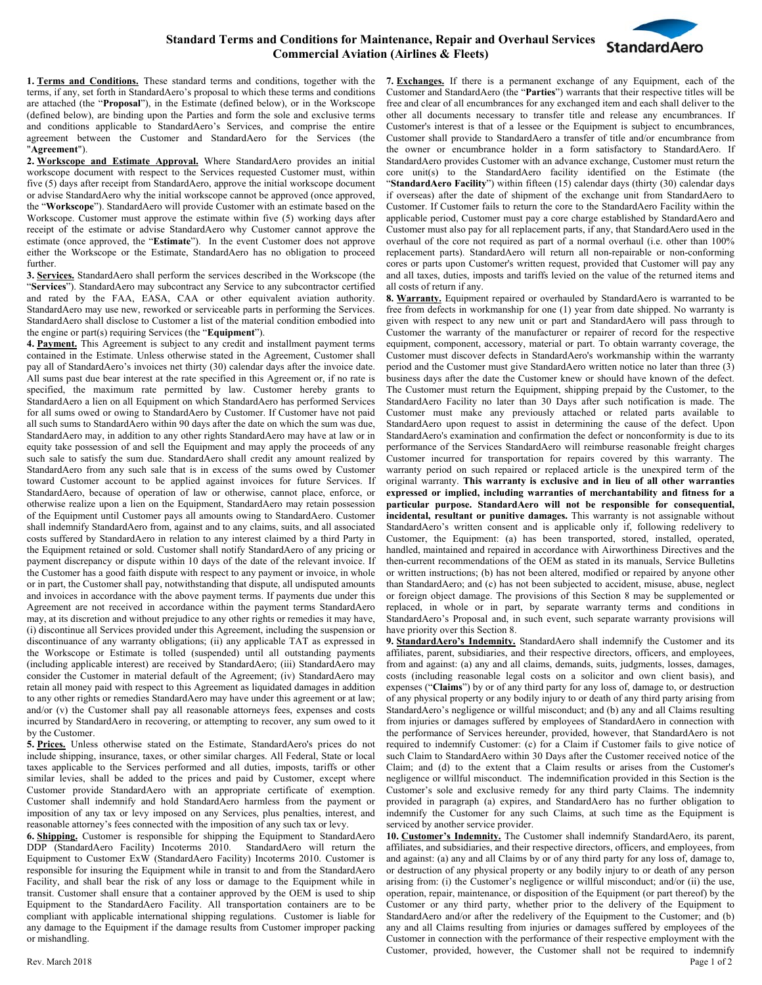## **Standard Terms and Conditions for Maintenance, Repair and Overhaul Services Commercial Aviation (Airlines & Fleets)**



**1. Terms and Conditions.** These standard terms and conditions, together with the terms, if any, set forth in StandardAero's proposal to which these terms and conditions are attached (the "**Proposal**"), in the Estimate (defined below), or in the Workscope (defined below), are binding upon the Parties and form the sole and exclusive terms and conditions applicable to StandardAero's Services, and comprise the entire agreement between the Customer and StandardAero for the Services (the "**Agreement**").

**2. Workscope and Estimate Approval.** Where StandardAero provides an initial workscope document with respect to the Services requested Customer must, within five (5) days after receipt from StandardAero, approve the initial workscope document or advise StandardAero why the initial workscope cannot be approved (once approved, the "**Workscope**"). StandardAero will provide Customer with an estimate based on the Workscope. Customer must approve the estimate within five (5) working days after receipt of the estimate or advise StandardAero why Customer cannot approve the estimate (once approved, the "**Estimate**"). In the event Customer does not approve either the Workscope or the Estimate, StandardAero has no obligation to proceed further.

**3. Services.** StandardAero shall perform the services described in the Workscope (the "**Services**"). StandardAero may subcontract any Service to any subcontractor certified and rated by the FAA, EASA, CAA or other equivalent aviation authority. StandardAero may use new, reworked or serviceable parts in performing the Services. StandardAero shall disclose to Customer a list of the material condition embodied into the engine or part(s) requiring Services (the "**Equipment**").

**4. Payment.** This Agreement is subject to any credit and installment payment terms contained in the Estimate. Unless otherwise stated in the Agreement, Customer shall pay all of StandardAero's invoices net thirty (30) calendar days after the invoice date. All sums past due bear interest at the rate specified in this Agreement or, if no rate is specified, the maximum rate permitted by law. Customer hereby grants to StandardAero a lien on all Equipment on which StandardAero has performed Services for all sums owed or owing to StandardAero by Customer. If Customer have not paid all such sums to StandardAero within 90 days after the date on which the sum was due, StandardAero may, in addition to any other rights StandardAero may have at law or in equity take possession of and sell the Equipment and may apply the proceeds of any such sale to satisfy the sum due. StandardAero shall credit any amount realized by StandardAero from any such sale that is in excess of the sums owed by Customer toward Customer account to be applied against invoices for future Services. If StandardAero, because of operation of law or otherwise, cannot place, enforce, or otherwise realize upon a lien on the Equipment, StandardAero may retain possession of the Equipment until Customer pays all amounts owing to StandardAero. Customer shall indemnify StandardAero from, against and to any claims, suits, and all associated costs suffered by StandardAero in relation to any interest claimed by a third Party in the Equipment retained or sold. Customer shall notify StandardAero of any pricing or payment discrepancy or dispute within 10 days of the date of the relevant invoice. If the Customer has a good faith dispute with respect to any payment or invoice, in whole or in part, the Customer shall pay, notwithstanding that dispute, all undisputed amounts and invoices in accordance with the above payment terms. If payments due under this Agreement are not received in accordance within the payment terms StandardAero may, at its discretion and without prejudice to any other rights or remedies it may have, (i) discontinue all Services provided under this Agreement, including the suspension or discontinuance of any warranty obligations; (ii) any applicable TAT as expressed in the Workscope or Estimate is tolled (suspended) until all outstanding payments (including applicable interest) are received by StandardAero; (iii) StandardAero may consider the Customer in material default of the Agreement; (iv) StandardAero may retain all money paid with respect to this Agreement as liquidated damages in addition to any other rights or remedies StandardAero may have under this agreement or at law; and/or (v) the Customer shall pay all reasonable attorneys fees, expenses and costs incurred by StandardAero in recovering, or attempting to recover, any sum owed to it by the Customer.

**5. Prices.** Unless otherwise stated on the Estimate, StandardAero's prices do not include shipping, insurance, taxes, or other similar charges. All Federal, State or local taxes applicable to the Services performed and all duties, imposts, tariffs or other similar levies, shall be added to the prices and paid by Customer, except where Customer provide StandardAero with an appropriate certificate of exemption. Customer shall indemnify and hold StandardAero harmless from the payment or imposition of any tax or levy imposed on any Services, plus penalties, interest, and reasonable attorney's fees connected with the imposition of any such tax or levy.

**6. Shipping.** Customer is responsible for shipping the Equipment to StandardAero DDP (StandardAero Facility) Incoterms 2010.StandardAero will return the Equipment to Customer ExW (StandardAero Facility) Incoterms 2010. Customer is responsible for insuring the Equipment while in transit to and from the StandardAero Facility, and shall bear the risk of any loss or damage to the Equipment while in transit. Customer shall ensure that a container approved by the OEM is used to ship Equipment to the StandardAero Facility. All transportation containers are to be compliant with applicable international shipping regulations. Customer is liable for any damage to the Equipment if the damage results from Customer improper packing or mishandling.

**7. Exchanges.** If there is a permanent exchange of any Equipment, each of the Customer and StandardAero (the "**Parties**") warrants that their respective titles will be free and clear of all encumbrances for any exchanged item and each shall deliver to the other all documents necessary to transfer title and release any encumbrances. If Customer's interest is that of a lessee or the Equipment is subject to encumbrances, Customer shall provide to StandardAero a transfer of title and/or encumbrance from the owner or encumbrance holder in a form satisfactory to StandardAero. If StandardAero provides Customer with an advance exchange, Customer must return the core unit(s) to the StandardAero facility identified on the Estimate (the "**StandardAero Facility**") within fifteen (15) calendar days (thirty (30) calendar days if overseas) after the date of shipment of the exchange unit from StandardAero to Customer. If Customer fails to return the core to the StandardAero Facility within the applicable period, Customer must pay a core charge established by StandardAero and Customer must also pay for all replacement parts, if any, that StandardAero used in the overhaul of the core not required as part of a normal overhaul (i.e. other than 100% replacement parts). StandardAero will return all non-repairable or non-conforming cores or parts upon Customer's written request, provided that Customer will pay any and all taxes, duties, imposts and tariffs levied on the value of the returned items and all costs of return if any.

**8. Warranty.** Equipment repaired or overhauled by StandardAero is warranted to be free from defects in workmanship for one (1) year from date shipped. No warranty is given with respect to any new unit or part and StandardAero will pass through to Customer the warranty of the manufacturer or repairer of record for the respective equipment, component, accessory, material or part. To obtain warranty coverage, the Customer must discover defects in StandardAero's workmanship within the warranty period and the Customer must give StandardAero written notice no later than three (3) business days after the date the Customer knew or should have known of the defect. The Customer must return the Equipment, shipping prepaid by the Customer, to the StandardAero Facility no later than 30 Days after such notification is made. The Customer must make any previously attached or related parts available to StandardAero upon request to assist in determining the cause of the defect. Upon StandardAero's examination and confirmation the defect or nonconformity is due to its performance of the Services StandardAero will reimburse reasonable freight charges Customer incurred for transportation for repairs covered by this warranty. The warranty period on such repaired or replaced article is the unexpired term of the original warranty. **This warranty is exclusive and in lieu of all other warranties expressed or implied, including warranties of merchantability and fitness for a particular purpose. StandardAero will not be responsible for consequential, incidental, resultant or punitive damages.** This warranty is not assignable without StandardAero's written consent and is applicable only if, following redelivery to Customer, the Equipment: (a) has been transported, stored, installed, operated, handled, maintained and repaired in accordance with Airworthiness Directives and the then-current recommendations of the OEM as stated in its manuals, Service Bulletins or written instructions; (b) has not been altered, modified or repaired by anyone other than StandardAero; and (c) has not been subjected to accident, misuse, abuse, neglect or foreign object damage. The provisions of this Section 8 may be supplemented or replaced, in whole or in part, by separate warranty terms and conditions in StandardAero's Proposal and, in such event, such separate warranty provisions will have priority over this Section 8.

**9. StandardAero's Indemnity.** StandardAero shall indemnify the Customer and its affiliates, parent, subsidiaries, and their respective directors, officers, and employees, from and against: (a) any and all claims, demands, suits, judgments, losses, damages, costs (including reasonable legal costs on a solicitor and own client basis), and expenses ("**Claims**") by or of any third party for any loss of, damage to, or destruction of any physical property or any bodily injury to or death of any third party arising from StandardAero's negligence or willful misconduct; and (b) any and all Claims resulting from injuries or damages suffered by employees of StandardAero in connection with the performance of Services hereunder, provided, however, that StandardAero is not required to indemnify Customer: (c) for a Claim if Customer fails to give notice of such Claim to StandardAero within 30 Days after the Customer received notice of the Claim; and (d) to the extent that a Claim results or arises from the Customer's negligence or willful misconduct. The indemnification provided in this Section is the Customer's sole and exclusive remedy for any third party Claims. The indemnity provided in paragraph (a) expires, and StandardAero has no further obligation to indemnify the Customer for any such Claims, at such time as the Equipment is serviced by another service provider.

Rev. March 2018 Page 1 of 2 **10. Customer's Indemnity.** The Customer shall indemnify StandardAero, its parent, affiliates, and subsidiaries, and their respective directors, officers, and employees, from and against: (a) any and all Claims by or of any third party for any loss of, damage to, or destruction of any physical property or any bodily injury to or death of any person arising from: (i) the Customer's negligence or willful misconduct; and/or (ii) the use, operation, repair, maintenance, or disposition of the Equipment (or part thereof) by the Customer or any third party, whether prior to the delivery of the Equipment to StandardAero and/or after the redelivery of the Equipment to the Customer; and (b) any and all Claims resulting from injuries or damages suffered by employees of the Customer in connection with the performance of their respective employment with the Customer, provided, however, the Customer shall not be required to indemnify